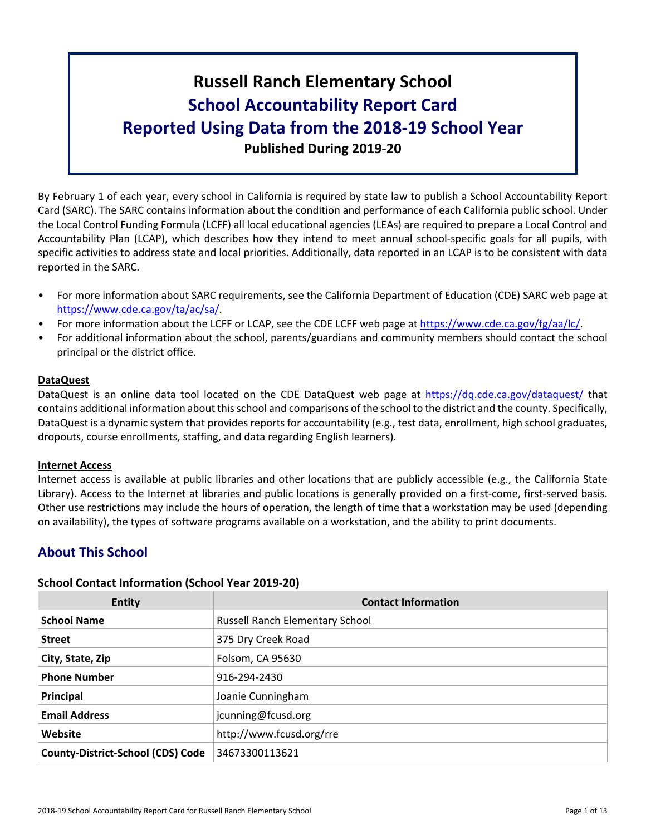# **Russell Ranch Elementary School School Accountability Report Card Reported Using Data from the 2018-19 School Year Published During 2019-20**

By February 1 of each year, every school in California is required by state law to publish a School Accountability Report Card (SARC). The SARC contains information about the condition and performance of each California public school. Under the Local Control Funding Formula (LCFF) all local educational agencies (LEAs) are required to prepare a Local Control and Accountability Plan (LCAP), which describes how they intend to meet annual school-specific goals for all pupils, with specific activities to address state and local priorities. Additionally, data reported in an LCAP is to be consistent with data reported in the SARC.

- For more information about SARC requirements, see the California Department of Education (CDE) SARC web page at [https://www.cde.ca.gov/ta/ac/sa/.](https://www.cde.ca.gov/ta/ac/sa/)
- For more information about the LCFF or LCAP, see the CDE LCFF web page at [https://www.cde.ca.gov/fg/aa/lc/.](https://www.cde.ca.gov/fg/aa/lc/)
- For additional information about the school, parents/guardians and community members should contact the school principal or the district office.

### **DataQuest**

DataQuest is an online data tool located on the CDE DataQuest web page at <https://dq.cde.ca.gov/dataquest/> that contains additional information about thisschool and comparisons of the school to the district and the county. Specifically, DataQuest is a dynamic system that provides reports for accountability (e.g., test data, enrollment, high school graduates, dropouts, course enrollments, staffing, and data regarding English learners).

#### **Internet Access**

Internet access is available at public libraries and other locations that are publicly accessible (e.g., the California State Library). Access to the Internet at libraries and public locations is generally provided on a first-come, first-served basis. Other use restrictions may include the hours of operation, the length of time that a workstation may be used (depending on availability), the types of software programs available on a workstation, and the ability to print documents.

## **About This School**

#### **School Contact Information (School Year 2019-20)**

| <b>Entity</b>                            | <b>Contact Information</b>             |
|------------------------------------------|----------------------------------------|
| <b>School Name</b>                       | <b>Russell Ranch Elementary School</b> |
| <b>Street</b>                            | 375 Dry Creek Road                     |
| City, State, Zip                         | Folsom, CA 95630                       |
| <b>Phone Number</b>                      | 916-294-2430                           |
| Principal                                | Joanie Cunningham                      |
| <b>Email Address</b>                     | jcunning@fcusd.org                     |
| Website                                  | http://www.fcusd.org/rre               |
| <b>County-District-School (CDS) Code</b> | 34673300113621                         |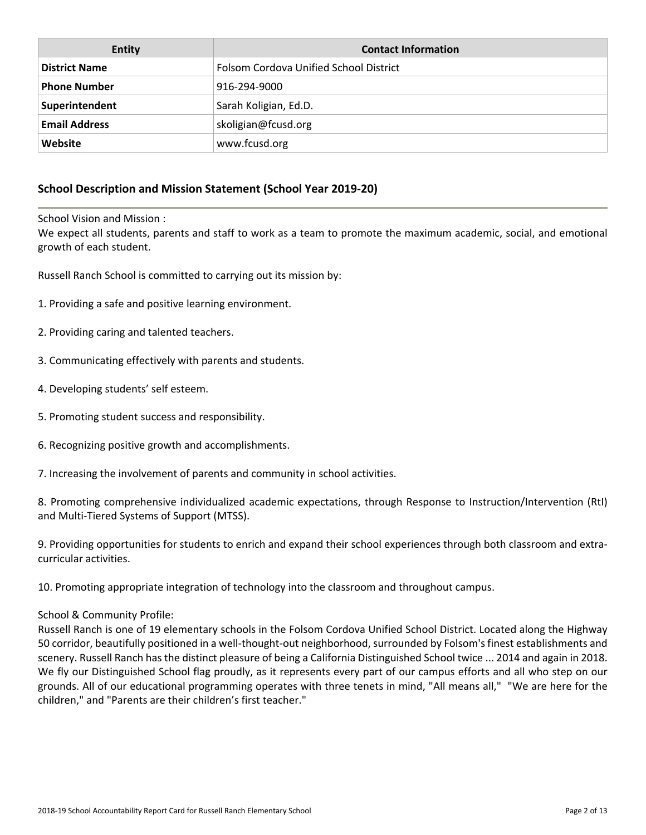| Entity               | <b>Contact Information</b>             |
|----------------------|----------------------------------------|
| <b>District Name</b> | Folsom Cordova Unified School District |
| <b>Phone Number</b>  | 916-294-9000                           |
| Superintendent       | Sarah Koligian, Ed.D.                  |
| <b>Email Address</b> | skoligian@fcusd.org                    |
| Website              | www.fcusd.org                          |

## **School Description and Mission Statement (School Year 2019-20)**

School Vision and Mission :

We expect all students, parents and staff to work as a team to promote the maximum academic, social, and emotional growth of each student.

Russell Ranch School is committed to carrying out its mission by:

- 1. Providing a safe and positive learning environment.
- 2. Providing caring and talented teachers.
- 3. Communicating effectively with parents and students.
- 4. Developing students' self esteem.
- 5. Promoting student success and responsibility.
- 6. Recognizing positive growth and accomplishments.
- 7. Increasing the involvement of parents and community in school activities.

8. Promoting comprehensive individualized academic expectations, through Response to Instruction/Intervention (RtI) and Multi-Tiered Systems of Support (MTSS).

9. Providing opportunities for students to enrich and expand their school experiences through both classroom and extracurricular activities.

10. Promoting appropriate integration of technology into the classroom and throughout campus.

#### School & Community Profile:

Russell Ranch is one of 19 elementary schools in the Folsom Cordova Unified School District. Located along the Highway 50 corridor, beautifully positioned in a well-thought-out neighborhood,surrounded by Folsom'sfinest establishments and scenery. Russell Ranch has the distinct pleasure of being a California Distinguished School twice ... 2014 and again in 2018. We fly our Distinguished School flag proudly, as it represents every part of our campus efforts and all who step on our grounds. All of our educational programming operates with three tenets in mind, "All means all," "We are here for the children," and "Parents are their children's first teacher."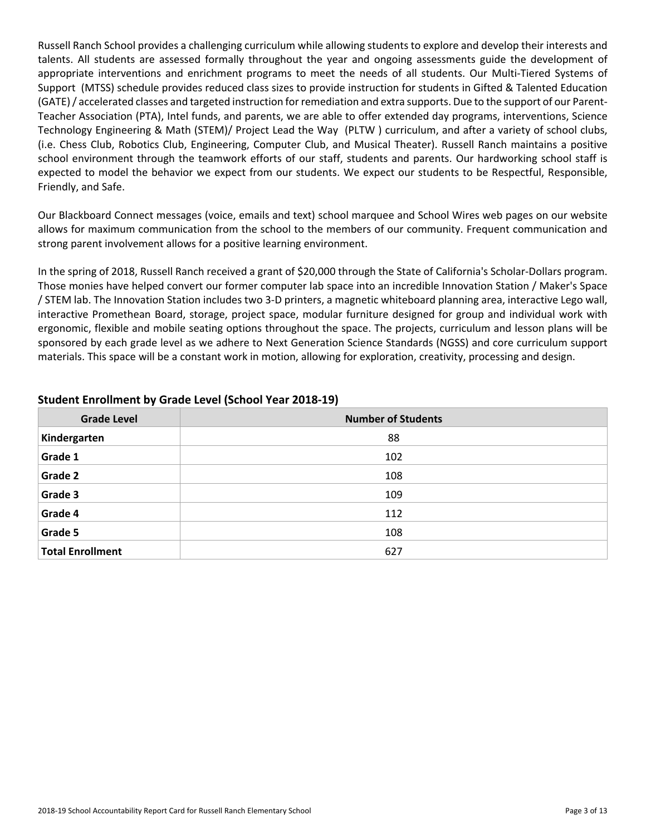Russell Ranch School provides a challenging curriculum while allowing students to explore and develop their interests and talents. All students are assessed formally throughout the year and ongoing assessments guide the development of appropriate interventions and enrichment programs to meet the needs of all students. Our Multi-Tiered Systems of Support (MTSS) schedule provides reduced class sizes to provide instruction for students in Gifted & Talented Education (GATE)/ accelerated classes and targeted instruction forremediation and extra supports. Due to the support of our Parent-Teacher Association (PTA), Intel funds, and parents, we are able to offer extended day programs, interventions, Science Technology Engineering & Math (STEM)/ Project Lead the Way (PLTW ) curriculum, and after a variety of school clubs, (i.e. Chess Club, Robotics Club, Engineering, Computer Club, and Musical Theater). Russell Ranch maintains a positive school environment through the teamwork efforts of our staff, students and parents. Our hardworking school staff is expected to model the behavior we expect from our students. We expect our students to be Respectful, Responsible, Friendly, and Safe.

Our Blackboard Connect messages (voice, emails and text) school marquee and School Wires web pages on our website allows for maximum communication from the school to the members of our community. Frequent communication and strong parent involvement allows for a positive learning environment.

In the spring of 2018, Russell Ranch received a grant of \$20,000 through the State of California's Scholar-Dollars program. Those monies have helped convert our former computer lab space into an incredible Innovation Station / Maker's Space / STEM lab. The Innovation Station includes two 3-D printers, a magnetic whiteboard planning area, interactive Lego wall, interactive Promethean Board, storage, project space, modular furniture designed for group and individual work with ergonomic, flexible and mobile seating options throughout the space. The projects, curriculum and lesson plans will be sponsored by each grade level as we adhere to Next Generation Science Standards (NGSS) and core curriculum support materials. This space will be a constant work in motion, allowing for exploration, creativity, processing and design.

| <b>Grade Level</b>      | <b>Number of Students</b> |
|-------------------------|---------------------------|
| Kindergarten            | 88                        |
| Grade 1                 | 102                       |
| Grade 2                 | 108                       |
| Grade 3                 | 109                       |
| Grade 4                 | 112                       |
| Grade 5                 | 108                       |
| <b>Total Enrollment</b> | 627                       |

### **Student Enrollment by Grade Level (School Year 2018-19)**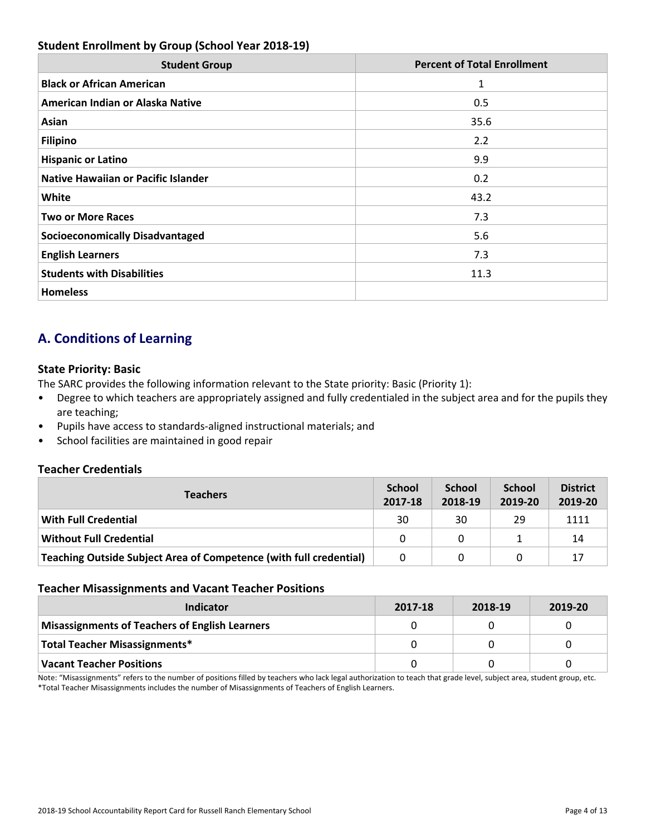## **Student Enrollment by Group (School Year 2018-19)**

| <b>Student Group</b>                       | <b>Percent of Total Enrollment</b> |
|--------------------------------------------|------------------------------------|
| <b>Black or African American</b>           | 1                                  |
| American Indian or Alaska Native           | 0.5                                |
| Asian                                      | 35.6                               |
| <b>Filipino</b>                            | 2.2                                |
| <b>Hispanic or Latino</b>                  | 9.9                                |
| <b>Native Hawaiian or Pacific Islander</b> | 0.2                                |
| White                                      | 43.2                               |
| <b>Two or More Races</b>                   | 7.3                                |
| <b>Socioeconomically Disadvantaged</b>     | 5.6                                |
| <b>English Learners</b>                    | 7.3                                |
| <b>Students with Disabilities</b>          | 11.3                               |
| <b>Homeless</b>                            |                                    |

## **A. Conditions of Learning**

### **State Priority: Basic**

The SARC provides the following information relevant to the State priority: Basic (Priority 1):

- Degree to which teachers are appropriately assigned and fully credentialed in the subject area and for the pupils they are teaching;
- Pupils have access to standards-aligned instructional materials; and
- School facilities are maintained in good repair

## **Teacher Credentials**

| <b>Teachers</b>                                                           |    | <b>School</b><br>2018-19 | <b>School</b><br>2019-20 | <b>District</b><br>2019-20 |
|---------------------------------------------------------------------------|----|--------------------------|--------------------------|----------------------------|
| <b>With Full Credential</b>                                               | 30 | 30                       | 29                       | 1111                       |
| <b>Without Full Credential</b>                                            | 0  | 0                        |                          | 14                         |
| <b>Teaching Outside Subject Area of Competence (with full credential)</b> | 0  |                          |                          | 17                         |

#### **Teacher Misassignments and Vacant Teacher Positions**

| Indicator                                             | 2017-18 | 2018-19 | 2019-20 |
|-------------------------------------------------------|---------|---------|---------|
| <b>Misassignments of Teachers of English Learners</b> |         |         |         |
| <b>Total Teacher Misassignments*</b>                  |         |         |         |
| <b>Vacant Teacher Positions</b>                       |         |         |         |

Note: "Misassignments" refers to the number of positions filled by teachers who lack legal authorization to teach that grade level, subject area, student group, etc. \*Total Teacher Misassignments includes the number of Misassignments of Teachers of English Learners.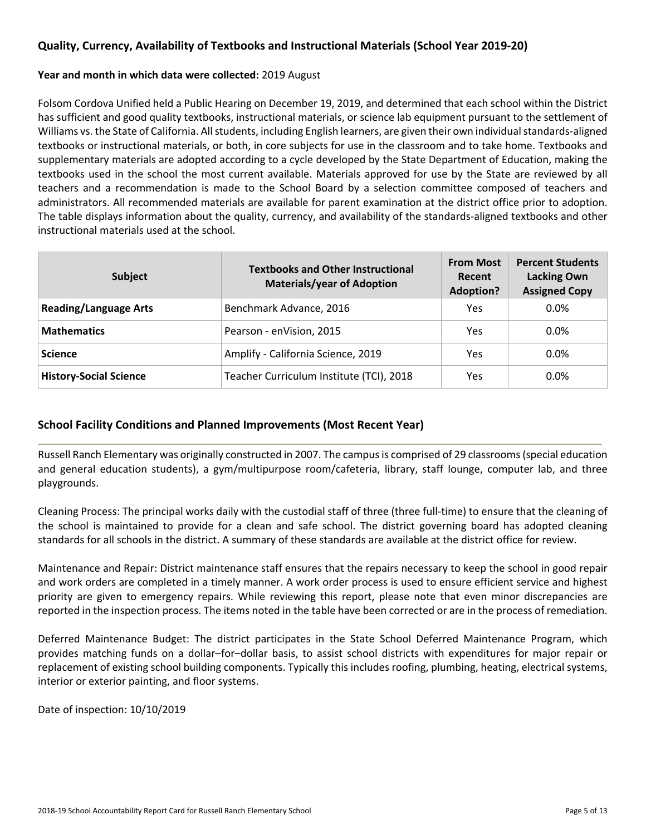## **Quality, Currency, Availability of Textbooks and Instructional Materials (School Year 2019-20)**

#### **Year and month in which data were collected:** 2019 August

Folsom Cordova Unified held a Public Hearing on December 19, 2019, and determined that each school within the District has sufficient and good quality textbooks, instructional materials, or science lab equipment pursuant to the settlement of Williams vs. the State of California. All students, including English learners, are given their own individual standards-aligned textbooks or instructional materials, or both, in core subjects for use in the classroom and to take home. Textbooks and supplementary materials are adopted according to a cycle developed by the State Department of Education, making the textbooks used in the school the most current available. Materials approved for use by the State are reviewed by all teachers and a recommendation is made to the School Board by a selection committee composed of teachers and administrators. All recommended materials are available for parent examination at the district office prior to adoption. The table displays information about the quality, currency, and availability of the standards-aligned textbooks and other instructional materials used at the school.

| <b>Subject</b>                | <b>Textbooks and Other Instructional</b><br><b>Materials/year of Adoption</b> | <b>From Most</b><br>Recent<br><b>Adoption?</b> | <b>Percent Students</b><br><b>Lacking Own</b><br><b>Assigned Copy</b> |
|-------------------------------|-------------------------------------------------------------------------------|------------------------------------------------|-----------------------------------------------------------------------|
| <b>Reading/Language Arts</b>  | Benchmark Advance, 2016                                                       | Yes.                                           | $0.0\%$                                                               |
| <b>Mathematics</b>            | Pearson - enVision, 2015                                                      | <b>Yes</b>                                     | $0.0\%$                                                               |
| <b>Science</b>                | Amplify - California Science, 2019                                            | Yes                                            | $0.0\%$                                                               |
| <b>History-Social Science</b> | Teacher Curriculum Institute (TCI), 2018                                      | Yes                                            | $0.0\%$                                                               |

## **School Facility Conditions and Planned Improvements (Most Recent Year)**

Russell Ranch Elementary was originally constructed in 2007. The campusis comprised of 29 classrooms(special education and general education students), a gym/multipurpose room/cafeteria, library, staff lounge, computer lab, and three playgrounds.

Cleaning Process: The principal works daily with the custodial staff of three (three full-time) to ensure that the cleaning of the school is maintained to provide for a clean and safe school. The district governing board has adopted cleaning standards for all schools in the district. A summary of these standards are available at the district office for review.

Maintenance and Repair: District maintenance staff ensures that the repairs necessary to keep the school in good repair and work orders are completed in a timely manner. A work order process is used to ensure efficient service and highest priority are given to emergency repairs. While reviewing this report, please note that even minor discrepancies are reported in the inspection process. The items noted in the table have been corrected or are in the process of remediation.

Deferred Maintenance Budget: The district participates in the State School Deferred Maintenance Program, which provides matching funds on a dollar–for–dollar basis, to assist school districts with expenditures for major repair or replacement of existing school building components. Typically this includes roofing, plumbing, heating, electrical systems, interior or exterior painting, and floor systems.

Date of inspection: 10/10/2019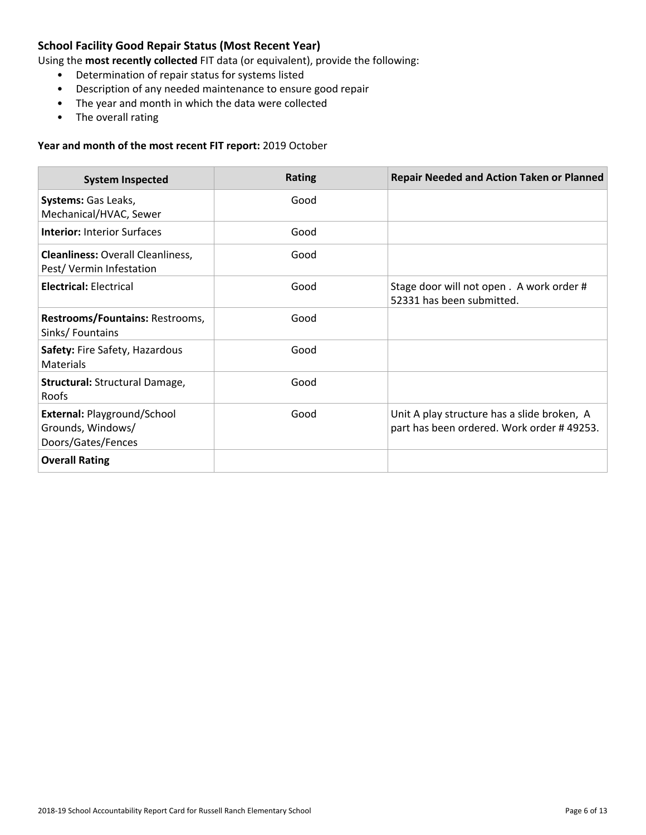## **School Facility Good Repair Status (Most Recent Year)**

Using the **most recently collected** FIT data (or equivalent), provide the following:

- Determination of repair status for systems listed
- Description of any needed maintenance to ensure good repair
- The year and month in which the data were collected
- The overall rating

#### **Year and month of the most recent FIT report:** 2019 October

| <b>System Inspected</b>                                                | <b>Rating</b> | <b>Repair Needed and Action Taken or Planned</b>                                         |
|------------------------------------------------------------------------|---------------|------------------------------------------------------------------------------------------|
| Systems: Gas Leaks,<br>Mechanical/HVAC, Sewer                          | Good          |                                                                                          |
| <b>Interior: Interior Surfaces</b>                                     | Good          |                                                                                          |
| <b>Cleanliness: Overall Cleanliness,</b><br>Pest/Vermin Infestation    | Good          |                                                                                          |
| <b>Electrical: Electrical</b>                                          | Good          | Stage door will not open. A work order #<br>52331 has been submitted.                    |
| Restrooms/Fountains: Restrooms,<br>Sinks/Fountains                     | Good          |                                                                                          |
| Safety: Fire Safety, Hazardous<br>Materials                            | Good          |                                                                                          |
| <b>Structural: Structural Damage,</b><br><b>Roofs</b>                  | Good          |                                                                                          |
| External: Playground/School<br>Grounds, Windows/<br>Doors/Gates/Fences | Good          | Unit A play structure has a slide broken, A<br>part has been ordered. Work order #49253. |
| <b>Overall Rating</b>                                                  |               |                                                                                          |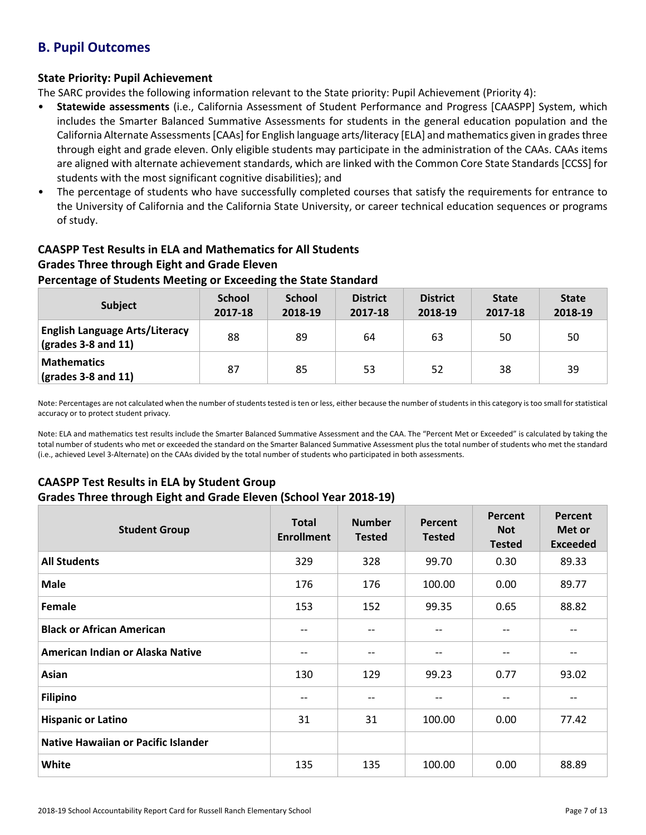## **B. Pupil Outcomes**

## **State Priority: Pupil Achievement**

The SARC provides the following information relevant to the State priority: Pupil Achievement (Priority 4):

- **Statewide assessments** (i.e., California Assessment of Student Performance and Progress [CAASPP] System, which includes the Smarter Balanced Summative Assessments for students in the general education population and the California Alternate Assessments [CAAs] for English language arts/literacy [ELA] and mathematics given in grades three through eight and grade eleven. Only eligible students may participate in the administration of the CAAs. CAAs items are aligned with alternate achievement standards, which are linked with the Common Core State Standards [CCSS] for students with the most significant cognitive disabilities); and
- The percentage of students who have successfully completed courses that satisfy the requirements for entrance to the University of California and the California State University, or career technical education sequences or programs of study.

## **CAASPP Test Results in ELA and Mathematics for All Students Grades Three through Eight and Grade Eleven**

### **Percentage of Students Meeting or Exceeding the State Standard**

| <b>Subject</b>                                                                    | <b>School</b><br>2017-18 | <b>School</b><br>2018-19 | <b>District</b><br>2017-18 | <b>District</b><br>2018-19 | <b>State</b><br>2017-18 | <b>State</b><br>2018-19 |
|-----------------------------------------------------------------------------------|--------------------------|--------------------------|----------------------------|----------------------------|-------------------------|-------------------------|
| <b>English Language Arts/Literacy</b><br>$\left(\text{grades }3-8\right)$ and 11) | 88                       | 89                       | 64                         | 63                         | 50                      | 50                      |
| <b>Mathematics</b><br>$\left(\frac{\text{grades}}{3} - 8\right)$ and 11)          | 87                       | 85                       | 53                         | 52                         | 38                      | 39                      |

Note: Percentages are not calculated when the number of students tested is ten or less, either because the number of students in this category is too small for statistical accuracy or to protect student privacy.

Note: ELA and mathematics test results include the Smarter Balanced Summative Assessment and the CAA. The "Percent Met or Exceeded" is calculated by taking the total number of students who met or exceeded the standard on the Smarter Balanced Summative Assessment plus the total number of students who met the standard (i.e., achieved Level 3-Alternate) on the CAAs divided by the total number of students who participated in both assessments.

## **CAASPP Test Results in ELA by Student Group**

#### **Grades Three through Eight and Grade Eleven (School Year 2018-19)**

| <b>Student Group</b>                       | <b>Total</b><br><b>Enrollment</b> | <b>Number</b><br><b>Tested</b> | <b>Percent</b><br><b>Tested</b> | Percent<br><b>Not</b><br><b>Tested</b> | Percent<br>Met or<br><b>Exceeded</b> |
|--------------------------------------------|-----------------------------------|--------------------------------|---------------------------------|----------------------------------------|--------------------------------------|
| <b>All Students</b>                        | 329                               | 328                            | 99.70                           | 0.30                                   | 89.33                                |
| <b>Male</b>                                | 176                               | 176                            | 100.00                          | 0.00                                   | 89.77                                |
| Female                                     | 153                               | 152                            | 99.35                           | 0.65                                   | 88.82                                |
| <b>Black or African American</b>           | --                                | $- -$                          | --                              | --                                     | --                                   |
| American Indian or Alaska Native           | $\qquad \qquad -$                 | --                             | --                              | --                                     | --                                   |
| Asian                                      | 130                               | 129                            | 99.23                           | 0.77                                   | 93.02                                |
| <b>Filipino</b>                            | $- -$                             | --                             | $-1$                            | --                                     | $- -$                                |
| <b>Hispanic or Latino</b>                  | 31                                | 31                             | 100.00                          | 0.00                                   | 77.42                                |
| <b>Native Hawaiian or Pacific Islander</b> |                                   |                                |                                 |                                        |                                      |
| <b>White</b>                               | 135                               | 135                            | 100.00                          | 0.00                                   | 88.89                                |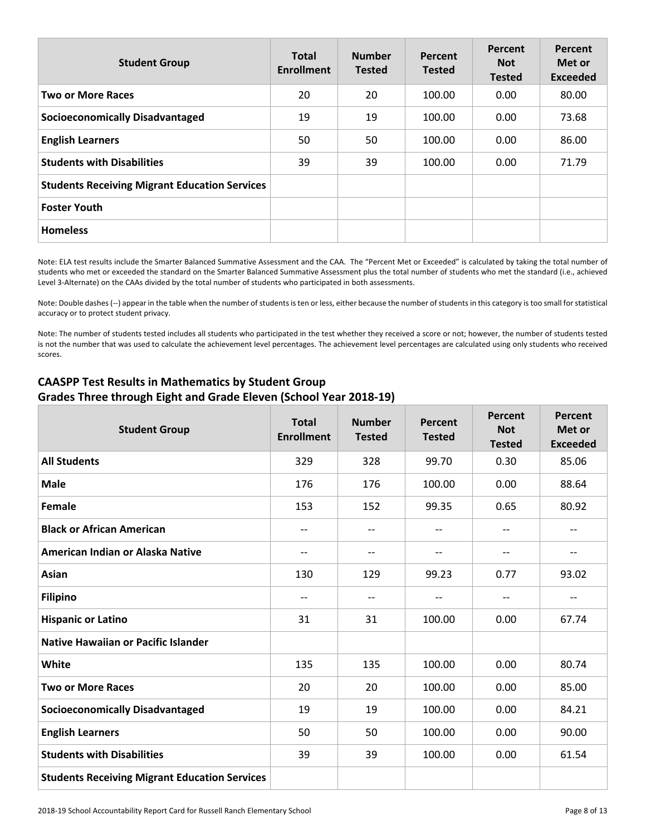| <b>Student Group</b>                                 | <b>Total</b><br><b>Enrollment</b> | <b>Number</b><br><b>Tested</b> | Percent<br><b>Tested</b> | <b>Percent</b><br><b>Not</b><br><b>Tested</b> | Percent<br>Met or<br><b>Exceeded</b> |
|------------------------------------------------------|-----------------------------------|--------------------------------|--------------------------|-----------------------------------------------|--------------------------------------|
| <b>Two or More Races</b>                             | 20                                | 20                             | 100.00                   | 0.00                                          | 80.00                                |
| <b>Socioeconomically Disadvantaged</b>               | 19                                | 19                             | 100.00                   | 0.00                                          | 73.68                                |
| <b>English Learners</b>                              | 50                                | 50                             | 100.00                   | 0.00                                          | 86.00                                |
| <b>Students with Disabilities</b>                    | 39                                | 39                             | 100.00                   | 0.00                                          | 71.79                                |
| <b>Students Receiving Migrant Education Services</b> |                                   |                                |                          |                                               |                                      |
| <b>Foster Youth</b>                                  |                                   |                                |                          |                                               |                                      |
| <b>Homeless</b>                                      |                                   |                                |                          |                                               |                                      |

Note: ELA test results include the Smarter Balanced Summative Assessment and the CAA. The "Percent Met or Exceeded" is calculated by taking the total number of students who met or exceeded the standard on the Smarter Balanced Summative Assessment plus the total number of students who met the standard (i.e., achieved Level 3-Alternate) on the CAAs divided by the total number of students who participated in both assessments.

Note: Double dashes (--) appear in the table when the number of students is ten or less, either because the number of students in this category is too small for statistical accuracy or to protect student privacy.

Note: The number of students tested includes all students who participated in the test whether they received a score or not; however, the number of students tested is not the number that was used to calculate the achievement level percentages. The achievement level percentages are calculated using only students who received scores.

| <b>Student Group</b>                                 | <b>Total</b><br><b>Enrollment</b> | <b>Number</b><br><b>Tested</b>      | Percent<br><b>Tested</b> | Percent<br><b>Not</b><br><b>Tested</b> | <b>Percent</b><br>Met or<br><b>Exceeded</b> |
|------------------------------------------------------|-----------------------------------|-------------------------------------|--------------------------|----------------------------------------|---------------------------------------------|
| <b>All Students</b>                                  | 329                               | 328                                 | 99.70                    | 0.30                                   | 85.06                                       |
| <b>Male</b>                                          | 176                               | 176                                 | 100.00                   | 0.00                                   | 88.64                                       |
| Female                                               | 153                               | 152                                 | 99.35                    | 0.65                                   | 80.92                                       |
| <b>Black or African American</b>                     | --                                | $\hspace{0.05cm}$ $\hspace{0.05cm}$ | $- -$                    | $- -$                                  | $-\, -$                                     |
| American Indian or Alaska Native                     | --                                | --                                  | --                       | --                                     | --                                          |
| Asian                                                | 130                               | 129                                 | 99.23                    | 0.77                                   | 93.02                                       |
| <b>Filipino</b>                                      | $-$                               | $-$                                 | $-$                      | $-$                                    | $-$                                         |
| <b>Hispanic or Latino</b>                            | 31                                | 31                                  | 100.00                   | 0.00                                   | 67.74                                       |
| <b>Native Hawaiian or Pacific Islander</b>           |                                   |                                     |                          |                                        |                                             |
| White                                                | 135                               | 135                                 | 100.00                   | 0.00                                   | 80.74                                       |
| <b>Two or More Races</b>                             | 20                                | 20                                  | 100.00                   | 0.00                                   | 85.00                                       |
| <b>Socioeconomically Disadvantaged</b>               | 19                                | 19                                  | 100.00                   | 0.00                                   | 84.21                                       |
| <b>English Learners</b>                              | 50                                | 50                                  | 100.00                   | 0.00                                   | 90.00                                       |
| <b>Students with Disabilities</b>                    | 39                                | 39                                  | 100.00                   | 0.00                                   | 61.54                                       |
| <b>Students Receiving Migrant Education Services</b> |                                   |                                     |                          |                                        |                                             |

## **CAASPP Test Results in Mathematics by Student Group Grades Three through Eight and Grade Eleven (School Year 2018-19)**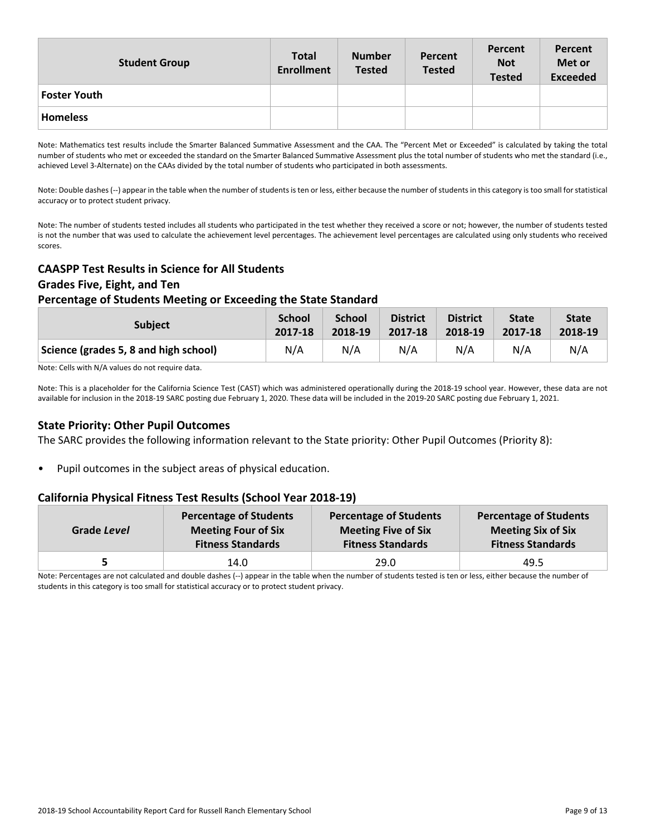| <b>Student Group</b> | <b>Total</b><br><b>Enrollment</b> | <b>Number</b><br><b>Tested</b> | Percent<br><b>Tested</b> | Percent<br><b>Not</b><br><b>Tested</b> | Percent<br>Met or<br><b>Exceeded</b> |
|----------------------|-----------------------------------|--------------------------------|--------------------------|----------------------------------------|--------------------------------------|
| <b>Foster Youth</b>  |                                   |                                |                          |                                        |                                      |
| <b>Homeless</b>      |                                   |                                |                          |                                        |                                      |

Note: Mathematics test results include the Smarter Balanced Summative Assessment and the CAA. The "Percent Met or Exceeded" is calculated by taking the total number of students who met or exceeded the standard on the Smarter Balanced Summative Assessment plus the total number of students who met the standard (i.e., achieved Level 3-Alternate) on the CAAs divided by the total number of students who participated in both assessments.

Note: Double dashes (--) appear in the table when the number of students is ten or less, either because the number of students in this category is too small for statistical accuracy or to protect student privacy.

Note: The number of students tested includes all students who participated in the test whether they received a score or not; however, the number of students tested is not the number that was used to calculate the achievement level percentages. The achievement level percentages are calculated using only students who received scores.

### **CAASPP Test Results in Science for All Students**

#### **Grades Five, Eight, and Ten**

#### **Percentage of Students Meeting or Exceeding the State Standard**

| <b>Subject</b>                        | <b>School</b> | <b>School</b> | <b>District</b> | <b>District</b> | <b>State</b> | <b>State</b> |
|---------------------------------------|---------------|---------------|-----------------|-----------------|--------------|--------------|
|                                       | 2017-18       | 2018-19       | 2017-18         | 2018-19         | 2017-18      | 2018-19      |
| Science (grades 5, 8 and high school) | N/A           | N/A           | N/A             | N/A             | N/A          | N/A          |

Note: Cells with N/A values do not require data.

Note: This is a placeholder for the California Science Test (CAST) which was administered operationally during the 2018-19 school year. However, these data are not available for inclusion in the 2018-19 SARC posting due February 1, 2020. These data will be included in the 2019-20 SARC posting due February 1, 2021.

#### **State Priority: Other Pupil Outcomes**

The SARC provides the following information relevant to the State priority: Other Pupil Outcomes (Priority 8):

• Pupil outcomes in the subject areas of physical education.

## **California Physical Fitness Test Results (School Year 2018-19)**

| Grade Level | <b>Percentage of Students</b> | <b>Percentage of Students</b> | <b>Percentage of Students</b> |
|-------------|-------------------------------|-------------------------------|-------------------------------|
|             | <b>Meeting Four of Six</b>    | <b>Meeting Five of Six</b>    | <b>Meeting Six of Six</b>     |
|             | <b>Fitness Standards</b>      | <b>Fitness Standards</b>      | <b>Fitness Standards</b>      |
|             | 14.0                          | 29.0                          | 49.5                          |

Note: Percentages are not calculated and double dashes (--) appear in the table when the number of students tested is ten or less, either because the number of students in this category is too small for statistical accuracy or to protect student privacy.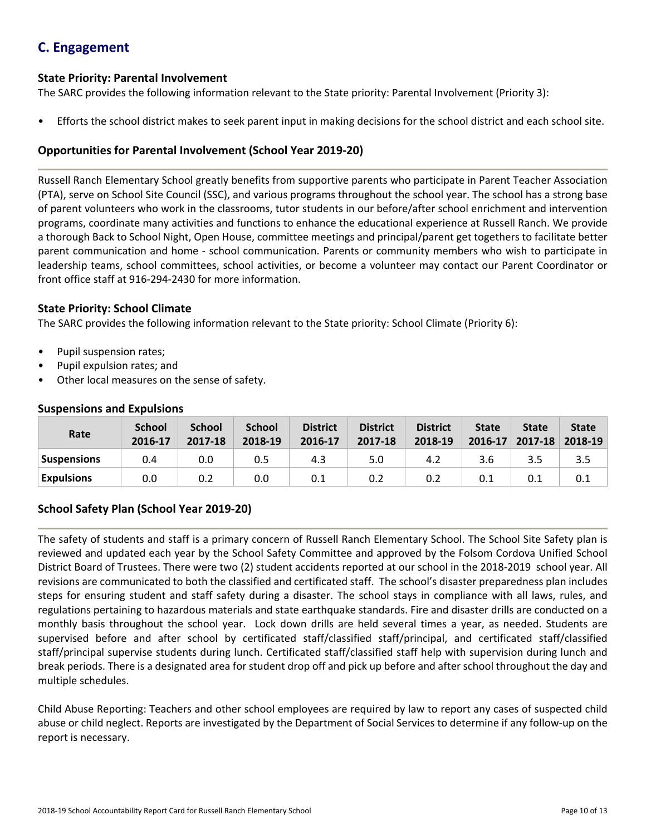## **C. Engagement**

### **State Priority: Parental Involvement**

The SARC provides the following information relevant to the State priority: Parental Involvement (Priority 3):

• Efforts the school district makes to seek parent input in making decisions for the school district and each school site.

## **Opportunities for Parental Involvement (School Year 2019-20)**

Russell Ranch Elementary School greatly benefits from supportive parents who participate in Parent Teacher Association (PTA), serve on School Site Council (SSC), and various programs throughout the school year. The school has a strong base of parent volunteers who work in the classrooms, tutor students in our before/after school enrichment and intervention programs, coordinate many activities and functions to enhance the educational experience at Russell Ranch. We provide a thorough Back to School Night, Open House, committee meetings and principal/parent get togethers to facilitate better parent communication and home - school communication. Parents or community members who wish to participate in leadership teams, school committees, school activities, or become a volunteer may contact our Parent Coordinator or front office staff at 916-294-2430 for more information.

#### **State Priority: School Climate**

The SARC provides the following information relevant to the State priority: School Climate (Priority 6):

- Pupil suspension rates;
- Pupil expulsion rates; and
- Other local measures on the sense of safety.

| Rate               | <b>School</b><br>2016-17 | <b>School</b><br>2017-18 | <b>School</b><br>2018-19 | <b>District</b><br>2016-17 | <b>District</b><br>2017-18 | <b>District</b><br>2018-19 | <b>State</b><br>$2016 - 17$ | <b>State</b><br>$2017 - 18$ | <b>State</b><br>2018-19 |
|--------------------|--------------------------|--------------------------|--------------------------|----------------------------|----------------------------|----------------------------|-----------------------------|-----------------------------|-------------------------|
| <b>Suspensions</b> | 0.4                      | 0.0                      | 0.5                      | 4.3                        | 5.0                        | 4.2                        | 3.6                         | 3.5                         | 3.5                     |
| <b>Expulsions</b>  | 0.0                      | 0.2                      | 0.0                      | 0.1                        | 0.2                        | 0.2                        | 0.1                         | 0.1                         | 0.1                     |

#### **Suspensions and Expulsions**

## **School Safety Plan (School Year 2019-20)**

The safety of students and staff is a primary concern of Russell Ranch Elementary School. The School Site Safety plan is reviewed and updated each year by the School Safety Committee and approved by the Folsom Cordova Unified School District Board of Trustees. There were two (2) student accidents reported at our school in the 2018-2019 school year. All revisions are communicated to both the classified and certificated staff. The school's disaster preparedness plan includes steps for ensuring student and staff safety during a disaster. The school stays in compliance with all laws, rules, and regulations pertaining to hazardous materials and state earthquake standards. Fire and disaster drills are conducted on a monthly basis throughout the school year. Lock down drills are held several times a year, as needed. Students are supervised before and after school by certificated staff/classified staff/principal, and certificated staff/classified staff/principal supervise students during lunch. Certificated staff/classified staff help with supervision during lunch and break periods. There is a designated area for student drop off and pick up before and after school throughout the day and multiple schedules.

Child Abuse Reporting: Teachers and other school employees are required by law to report any cases of suspected child abuse or child neglect. Reports are investigated by the Department of Social Services to determine if any follow-up on the report is necessary.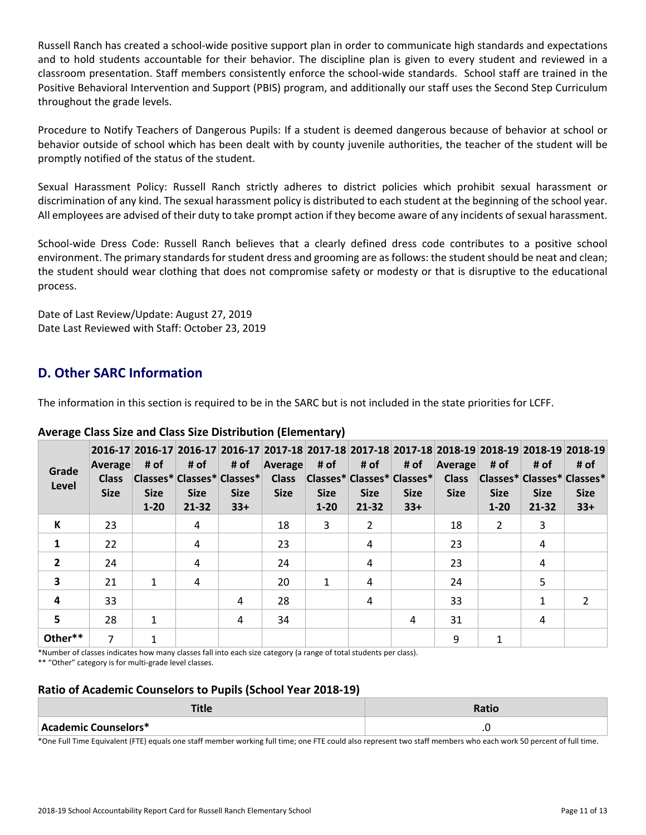Russell Ranch has created a school-wide positive support plan in order to communicate high standards and expectations and to hold students accountable for their behavior. The discipline plan is given to every student and reviewed in a classroom presentation. Staff members consistently enforce the school-wide standards. School staff are trained in the Positive Behavioral Intervention and Support (PBIS) program, and additionally our staff uses the Second Step Curriculum throughout the grade levels.

Procedure to Notify Teachers of Dangerous Pupils: If a student is deemed dangerous because of behavior at school or behavior outside of school which has been dealt with by county juvenile authorities, the teacher of the student will be promptly notified of the status of the student.

Sexual Harassment Policy: Russell Ranch strictly adheres to district policies which prohibit sexual harassment or discrimination of any kind. The sexual harassment policy is distributed to each student at the beginning of the school year. All employees are advised of their duty to take prompt action if they become aware of any incidents ofsexual harassment.

School-wide Dress Code: Russell Ranch believes that a clearly defined dress code contributes to a positive school environment. The primary standards for student dress and grooming are as follows: the student should be neat and clean; the student should wear clothing that does not compromise safety or modesty or that is disruptive to the educational process.

Date of Last Review/Update: August 27, 2019 Date Last Reviewed with Staff: October 23, 2019

## **D. Other SARC Information**

The information in this section is required to be in the SARC but is not included in the state priorities for LCFF.

| Grade<br>Level          | Average<br><b>Class</b><br><b>Size</b> | # of<br><b>Size</b><br>$1 - 20$ | # of<br><b>Size</b><br>$21 - 32$ | # of<br>Classes* Classes* Classes*<br><b>Size</b><br>$33+$ | 2016-17 2016-17 2016-17 2016-17 2017-18 2017-18 2017-18 2017-18 2017-18 2018-19 2018-19 2018-19 2018-19<br>Average<br><b>Class</b><br><b>Size</b> | # of<br><b>Size</b><br>$1 - 20$ | # of<br>Classes* Classes* Classes* Class<br><b>Size</b><br>$21 - 32$ | # of<br><b>Size</b><br>$33+$ | Average<br><b>Size</b> | # of<br>Classes* Classes* Classes*<br><b>Size</b><br>$1 - 20$ | # of<br><b>Size</b><br>$21 - 32$ | # of<br><b>Size</b><br>$33+$ |
|-------------------------|----------------------------------------|---------------------------------|----------------------------------|------------------------------------------------------------|---------------------------------------------------------------------------------------------------------------------------------------------------|---------------------------------|----------------------------------------------------------------------|------------------------------|------------------------|---------------------------------------------------------------|----------------------------------|------------------------------|
| К                       | 23                                     |                                 | 4                                |                                                            | 18                                                                                                                                                | 3                               | $\overline{2}$                                                       |                              | 18                     | 2                                                             | 3                                |                              |
| 1                       | 22                                     |                                 | 4                                |                                                            | 23                                                                                                                                                |                                 | 4                                                                    |                              | 23                     |                                                               | 4                                |                              |
| $\overline{2}$          | 24                                     |                                 | 4                                |                                                            | 24                                                                                                                                                |                                 | 4                                                                    |                              | 23                     |                                                               | 4                                |                              |
| 3                       | 21                                     | 1                               | 4                                |                                                            | 20                                                                                                                                                | 1                               | 4                                                                    |                              | 24                     |                                                               | 5                                |                              |
| $\overline{\mathbf{4}}$ | 33                                     |                                 |                                  | 4                                                          | 28                                                                                                                                                |                                 | 4                                                                    |                              | 33                     |                                                               | 1                                | $\mathcal{P}$                |
| 5                       | 28                                     | $\mathbf{1}$                    |                                  | 4                                                          | 34                                                                                                                                                |                                 |                                                                      | 4                            | 31                     |                                                               | 4                                |                              |
| Other**                 | 7                                      |                                 |                                  |                                                            |                                                                                                                                                   |                                 |                                                                      |                              | 9                      | 1                                                             |                                  |                              |

## **Average Class Size and Class Size Distribution (Elementary)**

\*Number of classes indicates how many classes fall into each size category (a range of total students per class).

\*\* "Other" category is for multi-grade level classes.

## **Ratio of Academic Counselors to Pupils (School Year 2018-19)**

| <b>THEFT</b><br>пис  | Ratio |
|----------------------|-------|
| Academic Counselors* | .u    |

\*One Full Time Equivalent (FTE) equals one staff member working full time; one FTE could also represent two staff members who each work 50 percent of full time.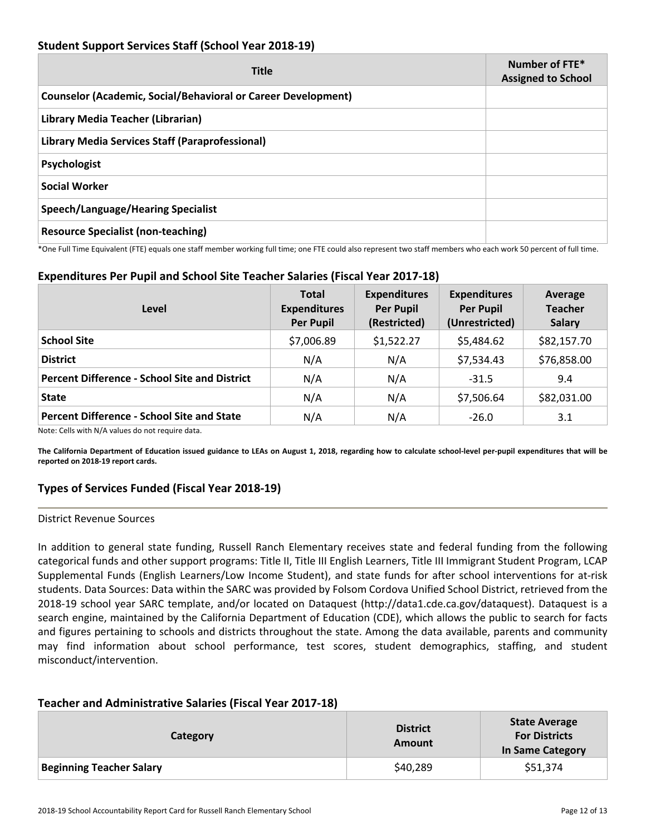## **Student Support Services Staff (School Year 2018-19)**

| <b>Title</b>                                                         | Number of FTE*<br><b>Assigned to School</b> |
|----------------------------------------------------------------------|---------------------------------------------|
| <b>Counselor (Academic, Social/Behavioral or Career Development)</b> |                                             |
| Library Media Teacher (Librarian)                                    |                                             |
| Library Media Services Staff (Paraprofessional)                      |                                             |
| Psychologist                                                         |                                             |
| <b>Social Worker</b>                                                 |                                             |
| <b>Speech/Language/Hearing Specialist</b>                            |                                             |
| <b>Resource Specialist (non-teaching)</b>                            |                                             |

\*One Full Time Equivalent (FTE) equals one staff member working full time; one FTE could also represent two staff members who each work 50 percent of full time.

## **Expenditures Per Pupil and School Site Teacher Salaries (Fiscal Year 2017-18)**

| Level                                                                                                     | <b>Total</b><br><b>Expenditures</b><br><b>Per Pupil</b> | <b>Expenditures</b><br><b>Per Pupil</b><br>(Restricted) | <b>Expenditures</b><br><b>Per Pupil</b><br>(Unrestricted) | Average<br><b>Teacher</b><br><b>Salary</b> |
|-----------------------------------------------------------------------------------------------------------|---------------------------------------------------------|---------------------------------------------------------|-----------------------------------------------------------|--------------------------------------------|
| <b>School Site</b>                                                                                        | \$7,006.89                                              | \$1,522.27                                              | \$5,484.62                                                | \$82,157.70                                |
| <b>District</b>                                                                                           | N/A                                                     | N/A                                                     | \$7,534.43                                                | \$76,858.00                                |
| <b>Percent Difference - School Site and District</b>                                                      | N/A                                                     | N/A                                                     | $-31.5$                                                   | 9.4                                        |
| <b>State</b>                                                                                              | N/A                                                     | N/A                                                     | \$7,506.64                                                | \$82,031.00                                |
| <b>Percent Difference - School Site and State</b><br>Alata: Calleriate Al/Arrahian de matriconidae detail | N/A                                                     | N/A                                                     | $-26.0$                                                   | 3.1                                        |

Note: Cells with N/A values do not require data.

The California Department of Education issued guidance to LEAs on August 1, 2018, regarding how to calculate school-level per-pupil expenditures that will be **reported on 2018-19 report cards.**

## **Types of Services Funded (Fiscal Year 2018-19)**

#### District Revenue Sources

In addition to general state funding, Russell Ranch Elementary receives state and federal funding from the following categorical funds and other support programs: Title II, Title III English Learners, Title III Immigrant Student Program, LCAP Supplemental Funds (English Learners/Low Income Student), and state funds for after school interventions for at-risk students. Data Sources: Data within the SARC was provided by Folsom Cordova Unified School District, retrieved from the 2018-19 school year SARC template, and/or located on Dataquest (http://data1.cde.ca.gov/dataquest). Dataquest is a search engine, maintained by the California Department of Education (CDE), which allows the public to search for facts and figures pertaining to schools and districts throughout the state. Among the data available, parents and community may find information about school performance, test scores, student demographics, staffing, and student misconduct/intervention.

#### **Teacher and Administrative Salaries (Fiscal Year 2017-18)**

| <b>Category</b>                 | <b>District</b><br>Amount | <b>State Average</b><br><b>For Districts</b><br>In Same Category |
|---------------------------------|---------------------------|------------------------------------------------------------------|
| <b>Beginning Teacher Salary</b> | \$40,289                  | \$51,374                                                         |